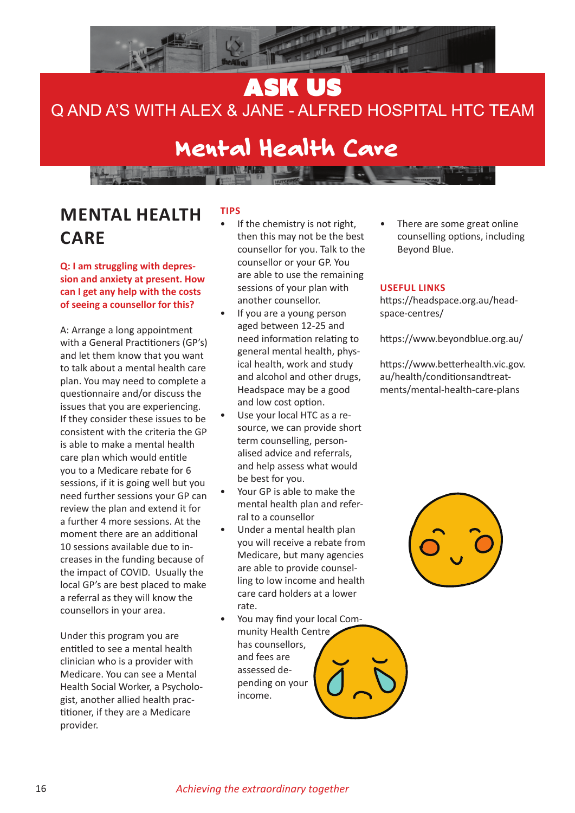

# ASK US Q AND A'S WITH ALEX & JANE - ALFRED HOSPITAL HTC TEAM

# Mental Health Care

## **MENTAL HEALTH CARE**

#### **Q: I am struggling with depression and anxiety at present. How can I get any help with the costs of seeing a counsellor for this?**

A: Arrange a long appointment with a General Practitioners (GP's) and let them know that you want to talk about a mental health care plan. You may need to complete a questionnaire and/or discuss the issues that you are experiencing. If they consider these issues to be consistent with the criteria the GP is able to make a mental health care plan which would entitle you to a Medicare rebate for 6 sessions, if it is going well but you need further sessions your GP can review the plan and extend it for a further 4 more sessions. At the moment there are an additional 10 sessions available due to increases in the funding because of the impact of COVID. Usually the local GP's are best placed to make a referral as they will know the counsellors in your area.

Under this program you are entitled to see a mental health clinician who is a provider with Medicare. You can see a Mental Health Social Worker, a Psychologist, another allied health practitioner, if they are a Medicare provider.

### **TIPS**

- If the chemistry is not right, then this may not be the best counsellor for you. Talk to the counsellor or your GP. You are able to use the remaining sessions of your plan with another counsellor.
- If you are a young person aged between 12-25 and need information relating to general mental health, physical health, work and study and alcohol and other drugs, Headspace may be a good and low cost option.
- Use your local HTC as a resource, we can provide short term counselling, personalised advice and referrals, and help assess what would be best for you.
- Your GP is able to make the mental health plan and referral to a counsellor
- Under a mental health plan you will receive a rebate from Medicare, but many agencies are able to provide counselling to low income and health care card holders at a lower rate.
- You may find your local Community Health Centre has counsellors, and fees are assessed depending on your income.

There are some great online counselling options, including Beyond Blue.

#### **USEFUL LINKS**

https://headspace.org.au/headspace-centres/

https://www.beyondblue.org.au/

https://www.betterhealth.vic.gov. au/health/conditionsandtreatments/mental-health-care-plans